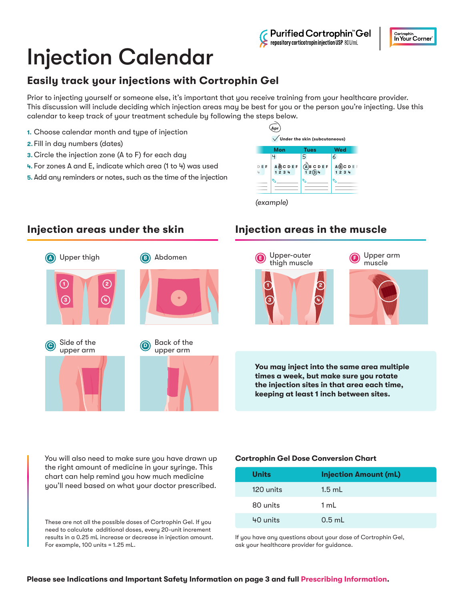#### Purified Cortrophin Gel repository corticotropin injection USP 80U/mL

# Injection Calendar

# **Easily track your injections with Cortrophin Gel**

Prior to injecting yourself or someone else, it's important that you receive training from your healthcare provider. This discussion will include deciding which injection areas may be best for you or the person you're injecting. Use this calendar to keep track of your treatment schedule by following the steps below.

- **1.** Choose calendar month and type of injection
- **2.** Fill in day numbers (dates)
- **3.** Circle the injection zone (A to F) for each day
- **4.** For zones A and E, indicate which area (1 to 4) was used
- **5.** Add any reminders or notes, such as the time of the injection





### **Injection areas under the skin Injection areas in the muscle**



**You may inject into the same area multiple times a week, but make sure you rotate the injection sites in that area each time, keeping at least 1 inch between sites.**

You will also need to make sure you have drawn up the right amount of medicine in your syringe. This chart can help remind you how much medicine you'll need based on what your doctor prescribed.

These are not all the possible doses of Cortrophin Gel. If you need to calculate additional doses, every 20-unit increment results in a 0.25 mL increase or decrease in injection amount. For example, 100 units = 1.25 mL.

#### **Cortrophin Gel Dose Conversion Chart**

| Units     | <b>Injection Amount (mL)</b> |
|-----------|------------------------------|
| 120 units | $1.5$ mL                     |
| 80 units  | 1 mL                         |
| 40 units  | $0.5$ mL                     |

If you have any questions about your dose of Cortrophin Gel, ask your healthcare provider for guidance.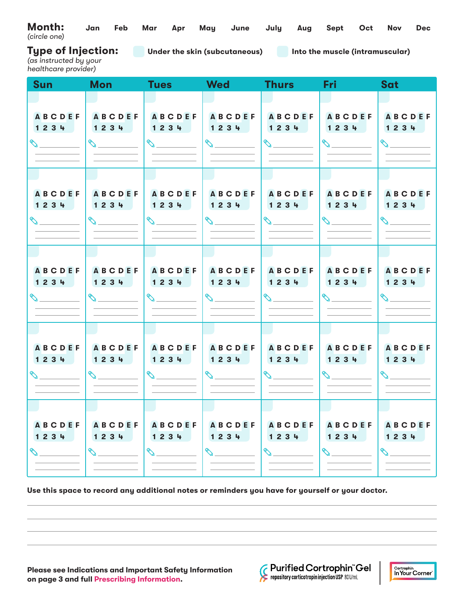| Month: Jan Feb Mar Apr May June July Aug Sept Oct Nov Dec<br>(circle one) |  |  |  |  |  |  |
|---------------------------------------------------------------------------|--|--|--|--|--|--|
|                                                                           |  |  |  |  |  |  |

**Under the skin (subcutaneous) Into the muscle (intramuscular)**

**Type of Injection:**

*(as instructed by your healthcare provider)*

| <b>Sun</b>                             | <b>Mon</b>                                                                                                                                                                                                                                                                                                                                                                   | <b>Tues</b>                                                                                                                                                                                                                                                                                                                                                                  | <b>Wed</b>                                                                                                                                                                                                                                                                                                                                                                   | <b>Thurs</b>                                                                                                                                                                                                                                                                                                                                                                 | <b>Fri</b>                                                                                                                                                                                                                                                                                                                                                                   | Sat                                                                                                                                                                                                                                                                                                                                                                          |
|----------------------------------------|------------------------------------------------------------------------------------------------------------------------------------------------------------------------------------------------------------------------------------------------------------------------------------------------------------------------------------------------------------------------------|------------------------------------------------------------------------------------------------------------------------------------------------------------------------------------------------------------------------------------------------------------------------------------------------------------------------------------------------------------------------------|------------------------------------------------------------------------------------------------------------------------------------------------------------------------------------------------------------------------------------------------------------------------------------------------------------------------------------------------------------------------------|------------------------------------------------------------------------------------------------------------------------------------------------------------------------------------------------------------------------------------------------------------------------------------------------------------------------------------------------------------------------------|------------------------------------------------------------------------------------------------------------------------------------------------------------------------------------------------------------------------------------------------------------------------------------------------------------------------------------------------------------------------------|------------------------------------------------------------------------------------------------------------------------------------------------------------------------------------------------------------------------------------------------------------------------------------------------------------------------------------------------------------------------------|
|                                        |                                                                                                                                                                                                                                                                                                                                                                              |                                                                                                                                                                                                                                                                                                                                                                              |                                                                                                                                                                                                                                                                                                                                                                              |                                                                                                                                                                                                                                                                                                                                                                              |                                                                                                                                                                                                                                                                                                                                                                              |                                                                                                                                                                                                                                                                                                                                                                              |
| <b>ABCDEF</b><br>1234<br>$\infty$      | <b>ABCDEF</b><br>1234                                                                                                                                                                                                                                                                                                                                                        | <b>ABCDEF</b><br>1234<br>$\begin{picture}(20,20) \put(0,0){\line(1,0){10}} \put(15,0){\line(1,0){10}} \put(15,0){\line(1,0){10}} \put(15,0){\line(1,0){10}} \put(15,0){\line(1,0){10}} \put(15,0){\line(1,0){10}} \put(15,0){\line(1,0){10}} \put(15,0){\line(1,0){10}} \put(15,0){\line(1,0){10}} \put(15,0){\line(1,0){10}} \put(15,0){\line(1,0){10}} \put(15,0){\line(1$ | <b>ABCDEF</b><br>1234<br>$\begin{picture}(20,20) \put(0,0){\line(1,0){10}} \put(15,0){\line(1,0){10}} \put(15,0){\line(1,0){10}} \put(15,0){\line(1,0){10}} \put(15,0){\line(1,0){10}} \put(15,0){\line(1,0){10}} \put(15,0){\line(1,0){10}} \put(15,0){\line(1,0){10}} \put(15,0){\line(1,0){10}} \put(15,0){\line(1,0){10}} \put(15,0){\line(1,0){10}} \put(15,0){\line(1$ | <b>ABCDEF</b><br>1234<br>$\begin{picture}(20,20) \put(0,0){\line(1,0){10}} \put(15,0){\line(1,0){10}} \put(15,0){\line(1,0){10}} \put(15,0){\line(1,0){10}} \put(15,0){\line(1,0){10}} \put(15,0){\line(1,0){10}} \put(15,0){\line(1,0){10}} \put(15,0){\line(1,0){10}} \put(15,0){\line(1,0){10}} \put(15,0){\line(1,0){10}} \put(15,0){\line(1,0){10}} \put(15,0){\line(1$ | ABCDEF<br>1234<br>$\begin{picture}(20,20) \put(0,0){\line(1,0){10}} \put(15,0){\line(1,0){10}} \put(15,0){\line(1,0){10}} \put(15,0){\line(1,0){10}} \put(15,0){\line(1,0){10}} \put(15,0){\line(1,0){10}} \put(15,0){\line(1,0){10}} \put(15,0){\line(1,0){10}} \put(15,0){\line(1,0){10}} \put(15,0){\line(1,0){10}} \put(15,0){\line(1,0){10}} \put(15,0){\line(1$        | <b>ABCDEF</b><br>1234<br>$\mathcal{L}$                                                                                                                                                                                                                                                                                                                                       |
|                                        |                                                                                                                                                                                                                                                                                                                                                                              |                                                                                                                                                                                                                                                                                                                                                                              |                                                                                                                                                                                                                                                                                                                                                                              |                                                                                                                                                                                                                                                                                                                                                                              |                                                                                                                                                                                                                                                                                                                                                                              |                                                                                                                                                                                                                                                                                                                                                                              |
| <b>ABCDEF</b><br>1234<br>$\mathcal{S}$ | <b>ABCDEF</b><br>1234<br>$\begin{picture}(20,20) \put(0,0){\line(1,0){10}} \put(15,0){\line(1,0){10}} \put(15,0){\line(1,0){10}} \put(15,0){\line(1,0){10}} \put(15,0){\line(1,0){10}} \put(15,0){\line(1,0){10}} \put(15,0){\line(1,0){10}} \put(15,0){\line(1,0){10}} \put(15,0){\line(1,0){10}} \put(15,0){\line(1,0){10}} \put(15,0){\line(1,0){10}} \put(15,0){\line(1$ | <b>ABCDEF</b><br>1234<br>$\begin{picture}(20,20) \put(0,0){\line(1,0){10}} \put(15,0){\line(1,0){10}} \put(15,0){\line(1,0){10}} \put(15,0){\line(1,0){10}} \put(15,0){\line(1,0){10}} \put(15,0){\line(1,0){10}} \put(15,0){\line(1,0){10}} \put(15,0){\line(1,0){10}} \put(15,0){\line(1,0){10}} \put(15,0){\line(1,0){10}} \put(15,0){\line(1,0){10}} \put(15,0){\line(1$ | <b>ABCDEF</b><br>1234<br>$\begin{picture}(20,20) \put(0,0){\line(1,0){10}} \put(15,0){\line(1,0){10}} \put(15,0){\line(1,0){10}} \put(15,0){\line(1,0){10}} \put(15,0){\line(1,0){10}} \put(15,0){\line(1,0){10}} \put(15,0){\line(1,0){10}} \put(15,0){\line(1,0){10}} \put(15,0){\line(1,0){10}} \put(15,0){\line(1,0){10}} \put(15,0){\line(1,0){10}} \put(15,0){\line(1$ | <b>ABCDEF</b><br>1234<br>$\begin{picture}(20,20) \put(0,0){\line(1,0){10}} \put(15,0){\line(1,0){10}} \put(15,0){\line(1,0){10}} \put(15,0){\line(1,0){10}} \put(15,0){\line(1,0){10}} \put(15,0){\line(1,0){10}} \put(15,0){\line(1,0){10}} \put(15,0){\line(1,0){10}} \put(15,0){\line(1,0){10}} \put(15,0){\line(1,0){10}} \put(15,0){\line(1,0){10}} \put(15,0){\line(1$ | <b>ABCDEF</b><br>1234<br>$\begin{picture}(20,20) \put(0,0){\line(1,0){10}} \put(15,0){\line(1,0){10}} \put(15,0){\line(1,0){10}} \put(15,0){\line(1,0){10}} \put(15,0){\line(1,0){10}} \put(15,0){\line(1,0){10}} \put(15,0){\line(1,0){10}} \put(15,0){\line(1,0){10}} \put(15,0){\line(1,0){10}} \put(15,0){\line(1,0){10}} \put(15,0){\line(1,0){10}} \put(15,0){\line(1$ | <b>ABCDEF</b><br>1234<br>$\begin{picture}(220,20) \put(0,0){\line(1,0){10}} \put(15,0){\line(1,0){10}} \put(15,0){\line(1,0){10}} \put(15,0){\line(1,0){10}} \put(15,0){\line(1,0){10}} \put(15,0){\line(1,0){10}} \put(15,0){\line(1,0){10}} \put(15,0){\line(1,0){10}} \put(15,0){\line(1,0){10}} \put(15,0){\line(1,0){10}} \put(15,0){\line(1,0){10}} \put(15,0){\line($ |
|                                        |                                                                                                                                                                                                                                                                                                                                                                              |                                                                                                                                                                                                                                                                                                                                                                              |                                                                                                                                                                                                                                                                                                                                                                              |                                                                                                                                                                                                                                                                                                                                                                              |                                                                                                                                                                                                                                                                                                                                                                              |                                                                                                                                                                                                                                                                                                                                                                              |
| <b>ABCDEF</b><br>1234                  | ABCDEF<br>1234<br>$\begin{picture}(20,20) \put(0,0){\line(1,0){10}} \put(15,0){\line(1,0){10}} \put(15,0){\line(1,0){10}} \put(15,0){\line(1,0){10}} \put(15,0){\line(1,0){10}} \put(15,0){\line(1,0){10}} \put(15,0){\line(1,0){10}} \put(15,0){\line(1,0){10}} \put(15,0){\line(1,0){10}} \put(15,0){\line(1,0){10}} \put(15,0){\line(1,0){10}} \put(15,0){\line(1$        | <b>ABCDEF</b><br>1234<br>$\begin{picture}(20,20) \put(0,0){\line(1,0){10}} \put(15,0){\line(1,0){10}} \put(15,0){\line(1,0){10}} \put(15,0){\line(1,0){10}} \put(15,0){\line(1,0){10}} \put(15,0){\line(1,0){10}} \put(15,0){\line(1,0){10}} \put(15,0){\line(1,0){10}} \put(15,0){\line(1,0){10}} \put(15,0){\line(1,0){10}} \put(15,0){\line(1,0){10}} \put(15,0){\line(1$ | <b>ABCDEF</b><br>1234<br>$\begin{picture}(20,20) \put(0,0){\line(1,0){10}} \put(15,0){\line(1,0){10}} \put(15,0){\line(1,0){10}} \put(15,0){\line(1,0){10}} \put(15,0){\line(1,0){10}} \put(15,0){\line(1,0){10}} \put(15,0){\line(1,0){10}} \put(15,0){\line(1,0){10}} \put(15,0){\line(1,0){10}} \put(15,0){\line(1,0){10}} \put(15,0){\line(1,0){10}} \put(15,0){\line(1$ | <b>ABCDEF</b><br>1234<br>$\begin{picture}(20,20) \put(0,0){\line(1,0){10}} \put(15,0){\line(1,0){10}} \put(15,0){\line(1,0){10}} \put(15,0){\line(1,0){10}} \put(15,0){\line(1,0){10}} \put(15,0){\line(1,0){10}} \put(15,0){\line(1,0){10}} \put(15,0){\line(1,0){10}} \put(15,0){\line(1,0){10}} \put(15,0){\line(1,0){10}} \put(15,0){\line(1,0){10}} \put(15,0){\line(1$ | <b>ABCDEF</b><br>1234<br>$\begin{picture}(20,20) \put(0,0){\line(1,0){10}} \put(15,0){\line(1,0){10}} \put(15,0){\line(1,0){10}} \put(15,0){\line(1,0){10}} \put(15,0){\line(1,0){10}} \put(15,0){\line(1,0){10}} \put(15,0){\line(1,0){10}} \put(15,0){\line(1,0){10}} \put(15,0){\line(1,0){10}} \put(15,0){\line(1,0){10}} \put(15,0){\line(1,0){10}} \put(15,0){\line(1$ | <b>ABCDEF</b><br>1234<br>$\mathscr{P}^*$                                                                                                                                                                                                                                                                                                                                     |
|                                        |                                                                                                                                                                                                                                                                                                                                                                              |                                                                                                                                                                                                                                                                                                                                                                              |                                                                                                                                                                                                                                                                                                                                                                              |                                                                                                                                                                                                                                                                                                                                                                              |                                                                                                                                                                                                                                                                                                                                                                              |                                                                                                                                                                                                                                                                                                                                                                              |
| <b>ABCDEF</b><br>1234                  | <b>ABCDEF</b><br>1234<br>$\begin{picture}(20,20) \put(0,0){\line(1,0){10}} \put(15,0){\line(1,0){10}} \put(15,0){\line(1,0){10}} \put(15,0){\line(1,0){10}} \put(15,0){\line(1,0){10}} \put(15,0){\line(1,0){10}} \put(15,0){\line(1,0){10}} \put(15,0){\line(1,0){10}} \put(15,0){\line(1,0){10}} \put(15,0){\line(1,0){10}} \put(15,0){\line(1,0){10}} \put(15,0){\line(1$ | <b>ABCDEF</b><br>1234<br>$\begin{picture}(20,20) \put(0,0){\line(1,0){10}} \put(15,0){\line(1,0){10}} \put(15,0){\line(1,0){10}} \put(15,0){\line(1,0){10}} \put(15,0){\line(1,0){10}} \put(15,0){\line(1,0){10}} \put(15,0){\line(1,0){10}} \put(15,0){\line(1,0){10}} \put(15,0){\line(1,0){10}} \put(15,0){\line(1,0){10}} \put(15,0){\line(1,0){10}} \put(15,0){\line(1$ | <b>ABCDEF</b><br>1234                                                                                                                                                                                                                                                                                                                                                        | <b>ABCDEF</b><br>1234                                                                                                                                                                                                                                                                                                                                                        | <b>ABCDEF</b><br>1234<br>$\begin{picture}(20,20) \put(0,0){\line(1,0){10}} \put(15,0){\line(1,0){10}} \put(15,0){\line(1,0){10}} \put(15,0){\line(1,0){10}} \put(15,0){\line(1,0){10}} \put(15,0){\line(1,0){10}} \put(15,0){\line(1,0){10}} \put(15,0){\line(1,0){10}} \put(15,0){\line(1,0){10}} \put(15,0){\line(1,0){10}} \put(15,0){\line(1,0){10}} \put(15,0){\line(1$ | <b>ABCDEF</b><br>1234<br>$\begin{picture}(220,20) \put(0,0){\line(1,0){10}} \put(15,0){\line(1,0){10}} \put(15,0){\line(1,0){10}} \put(15,0){\line(1,0){10}} \put(15,0){\line(1,0){10}} \put(15,0){\line(1,0){10}} \put(15,0){\line(1,0){10}} \put(15,0){\line(1,0){10}} \put(15,0){\line(1,0){10}} \put(15,0){\line(1,0){10}} \put(15,0){\line(1,0){10}} \put(15,0){\line($ |
|                                        |                                                                                                                                                                                                                                                                                                                                                                              |                                                                                                                                                                                                                                                                                                                                                                              |                                                                                                                                                                                                                                                                                                                                                                              |                                                                                                                                                                                                                                                                                                                                                                              |                                                                                                                                                                                                                                                                                                                                                                              |                                                                                                                                                                                                                                                                                                                                                                              |
| <b>ABCDEF</b><br>1234<br>$\mathscr{D}$ | <b>ABCDEF</b><br>1234<br>$\mathscr{C}$                                                                                                                                                                                                                                                                                                                                       | <b>ABCDEF</b><br>1234<br>$\mathscr{S}$                                                                                                                                                                                                                                                                                                                                       | <b>ABCDEF</b><br>1234<br>$\mathscr{D}$                                                                                                                                                                                                                                                                                                                                       | <b>ABCDEF</b><br>1234<br>$\mathscr{C}$                                                                                                                                                                                                                                                                                                                                       | <b>ABCDEF</b><br>1234<br>$\mathcal{S}$                                                                                                                                                                                                                                                                                                                                       | <b>ABCDEF</b><br>1234<br>$\Diamond$                                                                                                                                                                                                                                                                                                                                          |

**Use this space to record any additional notes or reminders you have for yourself or your doctor.**



**Example 1 Controphin "Gel**